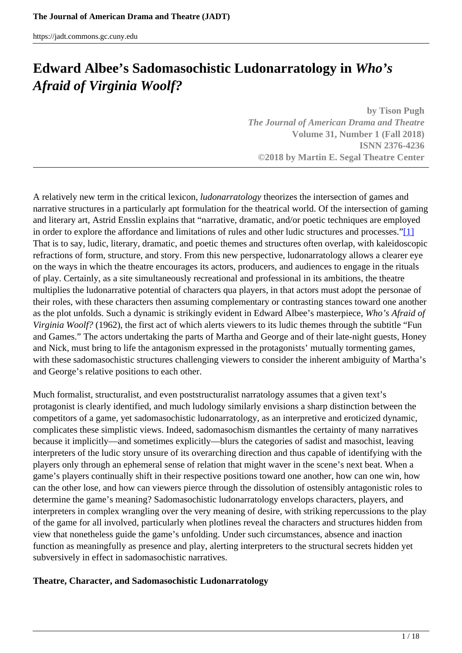# <span id="page-0-0"></span>**Edward Albee's Sadomasochistic Ludonarratology in** *Who's Afraid of Virginia Woolf?*

**by Tison Pugh** *The Journal of American Drama and Theatre* **Volume 31, Number 1 (Fall 2018) ISNN 2376-4236 ©2018 by Martin E. Segal Theatre Center**

A relatively new term in the critical lexicon, *ludonarratology* theorizes the intersection of games and narrative structures in a particularly apt formulation for the theatrical world. Of the intersection of gaming and literary art, Astrid Ensslin explains that "narrative, dramatic, and/or poetic techniques are employed in order to explore the affordance and limitations of rules and other ludic structures and processes."[\[1\]](#page-0-0) That is to say, ludic, literary, dramatic, and poetic themes and structures often overlap, with kaleidoscopic refractions of form, structure, and story. From this new perspective, ludonarratology allows a clearer eye on the ways in which the theatre encourages its actors, producers, and audiences to engage in the rituals of play. Certainly, as a site simultaneously recreational and professional in its ambitions, the theatre multiplies the ludonarrative potential of characters qua players, in that actors must adopt the personae of their roles, with these characters then assuming complementary or contrasting stances toward one another as the plot unfolds. Such a dynamic is strikingly evident in Edward Albee's masterpiece, *Who's Afraid of Virginia Woolf?* (1962), the first act of which alerts viewers to its ludic themes through the subtitle "Fun and Games." The actors undertaking the parts of Martha and George and of their late-night guests, Honey and Nick, must bring to life the antagonism expressed in the protagonists' mutually tormenting games, with these sadomasochistic structures challenging viewers to consider the inherent ambiguity of Martha's and George's relative positions to each other.

Much formalist, structuralist, and even poststructuralist narratology assumes that a given text's protagonist is clearly identified, and much ludology similarly envisions a sharp distinction between the competitors of a game, yet sadomasochistic ludonarratology, as an interpretive and eroticized dynamic, complicates these simplistic views. Indeed, sadomasochism dismantles the certainty of many narratives because it implicitly—and sometimes explicitly—blurs the categories of sadist and masochist, leaving interpreters of the ludic story unsure of its overarching direction and thus capable of identifying with the players only through an ephemeral sense of relation that might waver in the scene's next beat. When a game's players continually shift in their respective positions toward one another, how can one win, how can the other lose, and how can viewers pierce through the dissolution of ostensibly antagonistic roles to determine the game's meaning? Sadomasochistic ludonarratology envelops characters, players, and interpreters in complex wrangling over the very meaning of desire, with striking repercussions to the play of the game for all involved, particularly when plotlines reveal the characters and structures hidden from view that nonetheless guide the game's unfolding. Under such circumstances, absence and inaction function as meaningfully as presence and play, alerting interpreters to the structural secrets hidden yet subversively in effect in sadomasochistic narratives.

## **Theatre, Character, and Sadomasochistic Ludonarratology**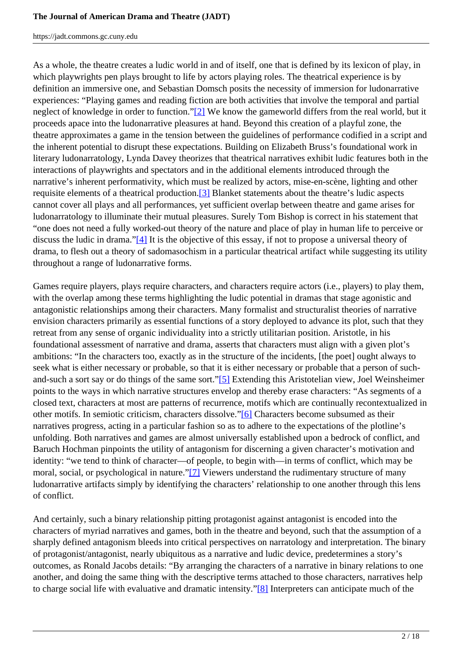As a whole, the theatre creates a ludic world in and of itself, one that is defined by its lexicon of play, in which playwrights pen plays brought to life by actors playing roles. The theatrical experience is by definition an immersive one, and Sebastian Domsch posits the necessity of immersion for ludonarrative experiences: "Playing games and reading fiction are both activities that involve the temporal and partial neglect of knowledge in order to function."[2] We know the gameworld differs from the real world, but it proceeds apace into the ludonarrative pleasures at hand. Beyond this creation of a playful zone, the theatre approximates a game in the tension between the guidelines of performance codified in a script and the inherent potential to disrupt these expectations. Building on Elizabeth Bruss's foundational work in literary ludonarratology, Lynda Davey theorizes that theatrical narratives exhibit ludic features both in the interactions of playwrights and spectators and in the additional elements introduced through the narrative's inherent performativity, which must be realized by actors, mise-en-scène, lighting and other requisite elements of a theatrical production.[3] Blanket statements about the theatre's ludic aspects cannot cover all plays and all performances, yet sufficient overlap between theatre and game arises for ludonarratology to illuminate their mutual pleasures. Surely Tom Bishop is correct in his statement that "one does not need a fully worked-out theory of the nature and place of play in human life to perceive or discuss the ludic in drama." $[4]$  It is the objective of this essay, if not to propose a universal theory of drama, to flesh out a theory of sadomasochism in a particular theatrical artifact while suggesting its utility throughout a range of ludonarrative forms.

Games require players, plays require characters, and characters require actors (i.e., players) to play them, with the overlap among these terms highlighting the ludic potential in dramas that stage agonistic and antagonistic relationships among their characters. Many formalist and structuralist theories of narrative envision characters primarily as essential functions of a story deployed to advance its plot, such that they retreat from any sense of organic individuality into a strictly utilitarian position. Aristotle, in his foundational assessment of narrative and drama, asserts that characters must align with a given plot's ambitions: "In the characters too, exactly as in the structure of the incidents, [the poet] ought always to seek what is either necessary or probable, so that it is either necessary or probable that a person of suchand-such a sort say or do things of the same sort."[5] Extending this Aristotelian view, Joel Weinsheimer points to the ways in which narrative structures envelop and thereby erase characters: "As segments of a closed text, characters at most are patterns of recurrence, motifs which are continually recontextualized in other motifs. In semiotic criticism, characters dissolve."[6] Characters become subsumed as their narratives progress, acting in a particular fashion so as to adhere to the expectations of the plotline's unfolding. Both narratives and games are almost universally established upon a bedrock of conflict, and Baruch Hochman pinpoints the utility of antagonism for discerning a given character's motivation and identity: "we tend to think of character—of people, to begin with—in terms of conflict, which may be moral, social, or psychological in nature."[7] Viewers understand the rudimentary structure of many ludonarrative artifacts simply by identifying the characters' relationship to one another through this lens of conflict.

And certainly, such a binary relationship pitting protagonist against antagonist is encoded into the characters of myriad narratives and games, both in the theatre and beyond, such that the assumption of a sharply defined antagonism bleeds into critical perspectives on narratology and interpretation. The binary of protagonist/antagonist, nearly ubiquitous as a narrative and ludic device, predetermines a story's outcomes, as Ronald Jacobs details: "By arranging the characters of a narrative in binary relations to one another, and doing the same thing with the descriptive terms attached to those characters, narratives help to charge social life with evaluative and dramatic intensity."[8] Interpreters can anticipate much of the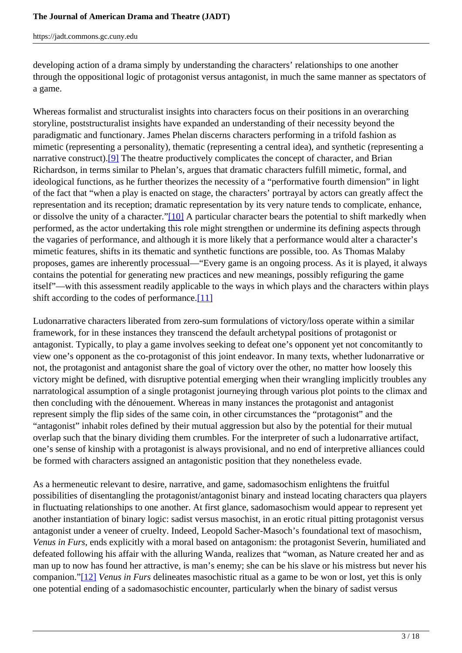developing action of a drama simply by understanding the characters' relationships to one another through the oppositional logic of protagonist versus antagonist, in much the same manner as spectators of a game.

Whereas formalist and structuralist insights into characters focus on their positions in an overarching storyline, poststructuralist insights have expanded an understanding of their necessity beyond the paradigmatic and functionary. James Phelan discerns characters performing in a trifold fashion as mimetic (representing a personality), thematic (representing a central idea), and synthetic (representing a narrative construct).<sup>[9]</sup> The theatre productively complicates the concept of character, and Brian Richardson, in terms similar to Phelan's, argues that dramatic characters fulfill mimetic, formal, and ideological functions, as he further theorizes the necessity of a "performative fourth dimension" in light of the fact that "when a play is enacted on stage, the characters' portrayal by actors can greatly affect the representation and its reception; dramatic representation by its very nature tends to complicate, enhance, or dissolve the unity of a character."[10] A particular character bears the potential to shift markedly when performed, as the actor undertaking this role might strengthen or undermine its defining aspects through the vagaries of performance, and although it is more likely that a performance would alter a character's mimetic features, shifts in its thematic and synthetic functions are possible, too. As Thomas Malaby proposes, games are inherently processual—"Every game is an ongoing process. As it is played, it always contains the potential for generating new practices and new meanings, possibly refiguring the game itself"—with this assessment readily applicable to the ways in which plays and the characters within plays shift according to the codes of performance.[11]

Ludonarrative characters liberated from zero-sum formulations of victory/loss operate within a similar framework, for in these instances they transcend the default archetypal positions of protagonist or antagonist. Typically, to play a game involves seeking to defeat one's opponent yet not concomitantly to view one's opponent as the co-protagonist of this joint endeavor. In many texts, whether ludonarrative or not, the protagonist and antagonist share the goal of victory over the other, no matter how loosely this victory might be defined, with disruptive potential emerging when their wrangling implicitly troubles any narratological assumption of a single protagonist journeying through various plot points to the climax and then concluding with the dénouement. Whereas in many instances the protagonist and antagonist represent simply the flip sides of the same coin, in other circumstances the "protagonist" and the "antagonist" inhabit roles defined by their mutual aggression but also by the potential for their mutual overlap such that the binary dividing them crumbles. For the interpreter of such a ludonarrative artifact, one's sense of kinship with a protagonist is always provisional, and no end of interpretive alliances could be formed with characters assigned an antagonistic position that they nonetheless evade.

As a hermeneutic relevant to desire, narrative, and game, sadomasochism enlightens the fruitful possibilities of disentangling the protagonist/antagonist binary and instead locating characters qua players in fluctuating relationships to one another. At first glance, sadomasochism would appear to represent yet another instantiation of binary logic: sadist versus masochist, in an erotic ritual pitting protagonist versus antagonist under a veneer of cruelty. Indeed, Leopold Sacher-Masoch's foundational text of masochism, *Venus in Furs*, ends explicitly with a moral based on antagonism: the protagonist Severin, humiliated and defeated following his affair with the alluring Wanda, realizes that "woman, as Nature created her and as man up to now has found her attractive, is man's enemy; she can be his slave or his mistress but never his companion."[12] *Venus in Furs* delineates masochistic ritual as a game to be won or lost, yet this is only one potential ending of a sadomasochistic encounter, particularly when the binary of sadist versus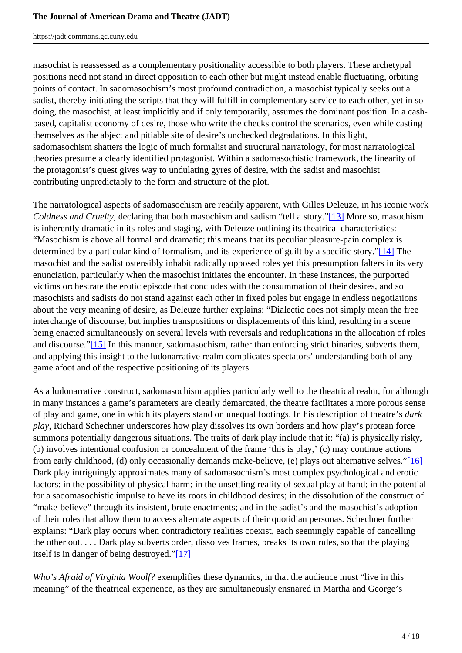masochist is reassessed as a complementary positionality accessible to both players. These archetypal positions need not stand in direct opposition to each other but might instead enable fluctuating, orbiting points of contact. In sadomasochism's most profound contradiction, a masochist typically seeks out a sadist, thereby initiating the scripts that they will fulfill in complementary service to each other, yet in so doing, the masochist, at least implicitly and if only temporarily, assumes the dominant position. In a cashbased, capitalist economy of desire, those who write the checks control the scenarios, even while casting themselves as the abject and pitiable site of desire's unchecked degradations. In this light, sadomasochism shatters the logic of much formalist and structural narratology, for most narratological theories presume a clearly identified protagonist. Within a sadomasochistic framework, the linearity of the protagonist's quest gives way to undulating gyres of desire, with the sadist and masochist contributing unpredictably to the form and structure of the plot.

The narratological aspects of sadomasochism are readily apparent, with Gilles Deleuze, in his iconic work *Coldness and Cruelty*, declaring that both masochism and sadism "tell a story."[13] More so, masochism is inherently dramatic in its roles and staging, with Deleuze outlining its theatrical characteristics: "Masochism is above all formal and dramatic; this means that its peculiar pleasure-pain complex is determined by a particular kind of formalism, and its experience of guilt by a specific story."[14] The masochist and the sadist ostensibly inhabit radically opposed roles yet this presumption falters in its very enunciation, particularly when the masochist initiates the encounter. In these instances, the purported victims orchestrate the erotic episode that concludes with the consummation of their desires, and so masochists and sadists do not stand against each other in fixed poles but engage in endless negotiations about the very meaning of desire, as Deleuze further explains: "Dialectic does not simply mean the free interchange of discourse, but implies transpositions or displacements of this kind, resulting in a scene being enacted simultaneously on several levels with reversals and reduplications in the allocation of roles and discourse."[15] In this manner, sadomasochism, rather than enforcing strict binaries, subverts them, and applying this insight to the ludonarrative realm complicates spectators' understanding both of any game afoot and of the respective positioning of its players.

As a ludonarrative construct, sadomasochism applies particularly well to the theatrical realm, for although in many instances a game's parameters are clearly demarcated, the theatre facilitates a more porous sense of play and game, one in which its players stand on unequal footings. In his description of theatre's *dark play*, Richard Schechner underscores how play dissolves its own borders and how play's protean force summons potentially dangerous situations. The traits of dark play include that it: "(a) is physically risky, (b) involves intentional confusion or concealment of the frame 'this is play,' (c) may continue actions from early childhood, (d) only occasionally demands make-believe, (e) plays out alternative selves."[16] Dark play intriguingly approximates many of sadomasochism's most complex psychological and erotic factors: in the possibility of physical harm; in the unsettling reality of sexual play at hand; in the potential for a sadomasochistic impulse to have its roots in childhood desires; in the dissolution of the construct of "make-believe" through its insistent, brute enactments; and in the sadist's and the masochist's adoption of their roles that allow them to access alternate aspects of their quotidian personas. Schechner further explains: "Dark play occurs when contradictory realities coexist, each seemingly capable of cancelling the other out. . . . Dark play subverts order, dissolves frames, breaks its own rules, so that the playing itself is in danger of being destroyed."[17]

*Who's Afraid of Virginia Woolf?* exemplifies these dynamics, in that the audience must "live in this meaning" of the theatrical experience, as they are simultaneously ensnared in Martha and George's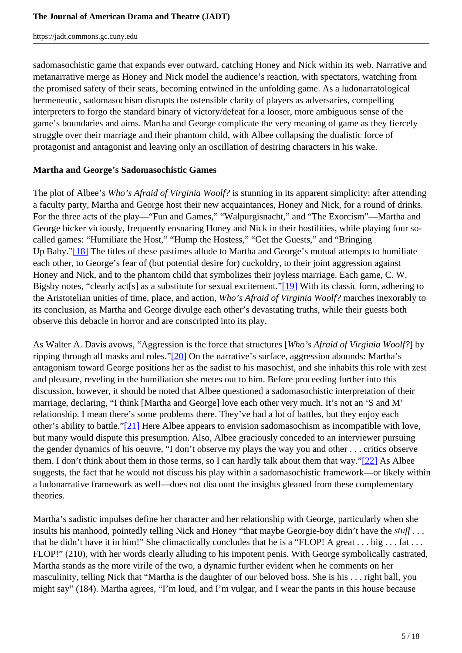sadomasochistic game that expands ever outward, catching Honey and Nick within its web. Narrative and metanarrative merge as Honey and Nick model the audience's reaction, with spectators, watching from the promised safety of their seats, becoming entwined in the unfolding game. As a ludonarratological hermeneutic, sadomasochism disrupts the ostensible clarity of players as adversaries, compelling interpreters to forgo the standard binary of victory/defeat for a looser, more ambiguous sense of the game's boundaries and aims. Martha and George complicate the very meaning of game as they fiercely struggle over their marriage and their phantom child, with Albee collapsing the dualistic force of protagonist and antagonist and leaving only an oscillation of desiring characters in his wake.

# **Martha and George's Sadomasochistic Games**

The plot of Albee's *Who's Afraid of Virginia Woolf?* is stunning in its apparent simplicity: after attending a faculty party, Martha and George host their new acquaintances, Honey and Nick, for a round of drinks. For the three acts of the play—"Fun and Games," "Walpurgisnacht," and "The Exorcism"—Martha and George bicker viciously, frequently ensnaring Honey and Nick in their hostilities, while playing four socalled games: "Humiliate the Host," "Hump the Hostess," "Get the Guests," and "Bringing Up Baby."[18] The titles of these pastimes allude to Martha and George's mutual attempts to humiliate each other, to George's fear of (but potential desire for) cuckoldry, to their joint aggression against Honey and Nick, and to the phantom child that symbolizes their joyless marriage. Each game, C. W. Bigsby notes, "clearly act[s] as a substitute for sexual excitement."[19] With its classic form, adhering to the Aristotelian unities of time, place, and action, *Who's Afraid of Virginia Woolf?* marches inexorably to its conclusion, as Martha and George divulge each other's devastating truths, while their guests both observe this debacle in horror and are conscripted into its play.

As Walter A. Davis avows, "Aggression is the force that structures [*Who's Afraid of Virginia Woolf?*] by ripping through all masks and roles."[20] On the narrative's surface, aggression abounds: Martha's antagonism toward George positions her as the sadist to his masochist, and she inhabits this role with zest and pleasure, reveling in the humiliation she metes out to him. Before proceeding further into this discussion, however, it should be noted that Albee questioned a sadomasochistic interpretation of their marriage, declaring, "I think [Martha and George] love each other very much. It's not an 'S and M' relationship. I mean there's some problems there. They've had a lot of battles, but they enjoy each other's ability to battle."[21] Here Albee appears to envision sadomasochism as incompatible with love, but many would dispute this presumption. Also, Albee graciously conceded to an interviewer pursuing the gender dynamics of his oeuvre, "I don't observe my plays the way you and other . . . critics observe them. I don't think about them in those terms, so I can hardly talk about them that way."[22] As Albee suggests, the fact that he would not discuss his play within a sadomasochistic framework—or likely within a ludonarrative framework as well—does not discount the insights gleaned from these complementary theories.

Martha's sadistic impulses define her character and her relationship with George, particularly when she insults his manhood, pointedly telling Nick and Honey "that maybe Georgie-boy didn't have the *stuff* . . . that he didn't have it in him!" She climactically concludes that he is a "FLOP! A great  $\dots$  big  $\dots$  fat  $\dots$ FLOP!" (210), with her words clearly alluding to his impotent penis. With George symbolically castrated, Martha stands as the more virile of the two, a dynamic further evident when he comments on her masculinity, telling Nick that "Martha is the daughter of our beloved boss. She is his . . . right ball, you might say" (184). Martha agrees, "I'm loud, and I'm vulgar, and I wear the pants in this house because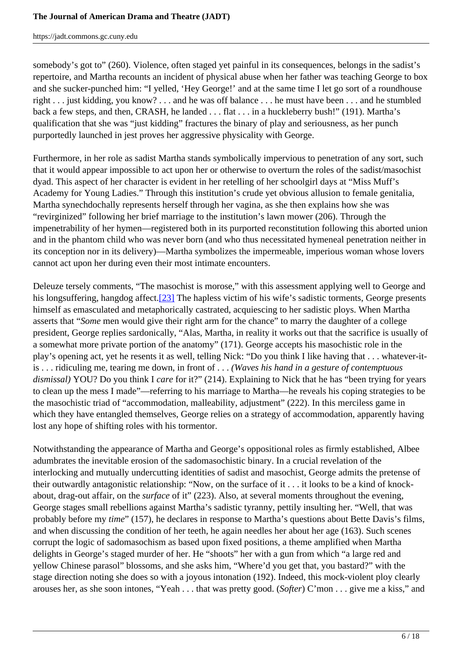somebody's got to" (260). Violence, often staged yet painful in its consequences, belongs in the sadist's repertoire, and Martha recounts an incident of physical abuse when her father was teaching George to box and she sucker-punched him: "I yelled, 'Hey George!' and at the same time I let go sort of a roundhouse right . . . just kidding, you know? . . . and he was off balance . . . he must have been . . . and he stumbled back a few steps, and then, CRASH, he landed . . . flat . . . in a huckleberry bush!" (191). Martha's qualification that she was "just kidding" fractures the binary of play and seriousness, as her punch purportedly launched in jest proves her aggressive physicality with George.

Furthermore, in her role as sadist Martha stands symbolically impervious to penetration of any sort, such that it would appear impossible to act upon her or otherwise to overturn the roles of the sadist/masochist dyad. This aspect of her character is evident in her retelling of her schoolgirl days at "Miss Muff's Academy for Young Ladies." Through this institution's crude yet obvious allusion to female genitalia, Martha synechdochally represents herself through her vagina, as she then explains how she was "revirginized" following her brief marriage to the institution's lawn mower (206). Through the impenetrability of her hymen—registered both in its purported reconstitution following this aborted union and in the phantom child who was never born (and who thus necessitated hymeneal penetration neither in its conception nor in its delivery)—Martha symbolizes the impermeable, imperious woman whose lovers cannot act upon her during even their most intimate encounters.

Deleuze tersely comments, "The masochist is morose," with this assessment applying well to George and his longsuffering, hangdog affect.<sup>[23]</sup> The hapless victim of his wife's sadistic torments, George presents himself as emasculated and metaphorically castrated, acquiescing to her sadistic ploys. When Martha asserts that "*Some* men would give their right arm for the chance" to marry the daughter of a college president, George replies sardonically, "Alas, Martha, in reality it works out that the sacrifice is usually of a somewhat more private portion of the anatomy" (171). George accepts his masochistic role in the play's opening act, yet he resents it as well, telling Nick: "Do you think I like having that . . . whatever-itis . . . ridiculing me, tearing me down, in front of . . . *(Waves his hand in a gesture of contemptuous dismissal)* YOU? Do you think I *care* for it?" (214). Explaining to Nick that he has "been trying for years to clean up the mess I made"—referring to his marriage to Martha—he reveals his coping strategies to be the masochistic triad of "accommodation, malleability, adjustment" (222). In this merciless game in which they have entangled themselves, George relies on a strategy of accommodation, apparently having lost any hope of shifting roles with his tormentor.

Notwithstanding the appearance of Martha and George's oppositional roles as firmly established, Albee adumbrates the inevitable erosion of the sadomasochistic binary. In a crucial revelation of the interlocking and mutually undercutting identities of sadist and masochist, George admits the pretense of their outwardly antagonistic relationship: "Now, on the surface of it . . . it looks to be a kind of knockabout, drag-out affair, on the *surface* of it" (223). Also, at several moments throughout the evening, George stages small rebellions against Martha's sadistic tyranny, pettily insulting her. "Well, that was probably before my *time*" (157), he declares in response to Martha's questions about Bette Davis's films, and when discussing the condition of her teeth, he again needles her about her age (163). Such scenes corrupt the logic of sadomasochism as based upon fixed positions, a theme amplified when Martha delights in George's staged murder of her. He "shoots" her with a gun from which "a large red and yellow Chinese parasol" blossoms, and she asks him, "Where'd you get that, you bastard?" with the stage direction noting she does so with a joyous intonation (192). Indeed, this mock-violent ploy clearly arouses her, as she soon intones, "Yeah . . . that was pretty good. (*Softer*) C'mon . . . give me a kiss," and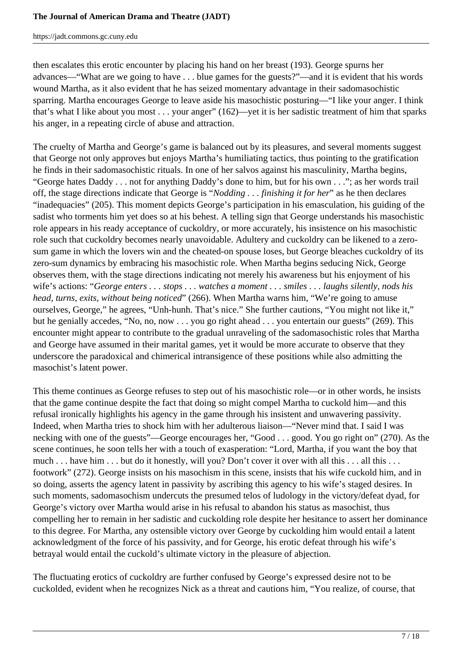then escalates this erotic encounter by placing his hand on her breast (193). George spurns her advances—"What are we going to have . . . blue games for the guests?"—and it is evident that his words wound Martha, as it also evident that he has seized momentary advantage in their sadomasochistic sparring. Martha encourages George to leave aside his masochistic posturing—"I like your anger. I think that's what I like about you most . . . your anger" (162)—yet it is her sadistic treatment of him that sparks his anger, in a repeating circle of abuse and attraction.

The cruelty of Martha and George's game is balanced out by its pleasures, and several moments suggest that George not only approves but enjoys Martha's humiliating tactics, thus pointing to the gratification he finds in their sadomasochistic rituals. In one of her salvos against his masculinity, Martha begins, "George hates Daddy . . . not for anything Daddy's done to him, but for his own . . ."; as her words trail off, the stage directions indicate that George is "*Nodding . . . finishing it for her*" as he then declares "inadequacies" (205). This moment depicts George's participation in his emasculation, his guiding of the sadist who torments him yet does so at his behest. A telling sign that George understands his masochistic role appears in his ready acceptance of cuckoldry, or more accurately, his insistence on his masochistic role such that cuckoldry becomes nearly unavoidable. Adultery and cuckoldry can be likened to a zerosum game in which the lovers win and the cheated-on spouse loses, but George bleaches cuckoldry of its zero-sum dynamics by embracing his masochistic role. When Martha begins seducing Nick, George observes them, with the stage directions indicating not merely his awareness but his enjoyment of his wife's actions: "*George enters . . . stops . . . watches a moment . . . smiles . . . laughs silently, nods his head, turns, exits, without being noticed*" (266). When Martha warns him, "We're going to amuse ourselves, George," he agrees, "Unh-hunh. That's nice." She further cautions, "You might not like it," but he genially accedes, "No, no, now . . . you go right ahead . . . you entertain our guests" (269). This encounter might appear to contribute to the gradual unraveling of the sadomasochistic roles that Martha and George have assumed in their marital games, yet it would be more accurate to observe that they underscore the paradoxical and chimerical intransigence of these positions while also admitting the masochist's latent power.

This theme continues as George refuses to step out of his masochistic role—or in other words, he insists that the game continue despite the fact that doing so might compel Martha to cuckold him—and this refusal ironically highlights his agency in the game through his insistent and unwavering passivity. Indeed, when Martha tries to shock him with her adulterous liaison—"Never mind that. I said I was necking with one of the guests"—George encourages her, "Good . . . good. You go right on" (270). As the scene continues, he soon tells her with a touch of exasperation: "Lord, Martha, if you want the boy that much . . . have him . . . but do it honestly, will you? Don't cover it over with all this . . . all this . . . footwork" (272). George insists on his masochism in this scene, insists that his wife cuckold him, and in so doing, asserts the agency latent in passivity by ascribing this agency to his wife's staged desires. In such moments, sadomasochism undercuts the presumed telos of ludology in the victory/defeat dyad, for George's victory over Martha would arise in his refusal to abandon his status as masochist, thus compelling her to remain in her sadistic and cuckolding role despite her hesitance to assert her dominance to this degree. For Martha, any ostensible victory over George by cuckolding him would entail a latent acknowledgment of the force of his passivity, and for George, his erotic defeat through his wife's betrayal would entail the cuckold's ultimate victory in the pleasure of abjection.

The fluctuating erotics of cuckoldry are further confused by George's expressed desire not to be cuckolded, evident when he recognizes Nick as a threat and cautions him, "You realize, of course, that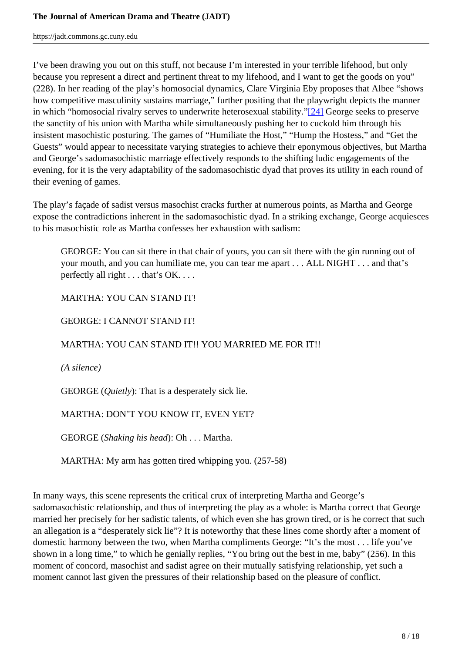I've been drawing you out on this stuff, not because I'm interested in your terrible lifehood, but only because you represent a direct and pertinent threat to my lifehood, and I want to get the goods on you" (228). In her reading of the play's homosocial dynamics, Clare Virginia Eby proposes that Albee "shows how competitive masculinity sustains marriage," further positing that the playwright depicts the manner in which "homosocial rivalry serves to underwrite heterosexual stability."[24] George seeks to preserve the sanctity of his union with Martha while simultaneously pushing her to cuckold him through his insistent masochistic posturing. The games of "Humiliate the Host," "Hump the Hostess," and "Get the Guests" would appear to necessitate varying strategies to achieve their eponymous objectives, but Martha and George's sadomasochistic marriage effectively responds to the shifting ludic engagements of the evening, for it is the very adaptability of the sadomasochistic dyad that proves its utility in each round of their evening of games.

The play's façade of sadist versus masochist cracks further at numerous points, as Martha and George expose the contradictions inherent in the sadomasochistic dyad. In a striking exchange, George acquiesces to his masochistic role as Martha confesses her exhaustion with sadism:

GEORGE: You can sit there in that chair of yours, you can sit there with the gin running out of your mouth, and you can humiliate me, you can tear me apart . . . ALL NIGHT . . . and that's perfectly all right . . . that's OK. . . .

MARTHA: YOU CAN STAND IT!

GEORGE: I CANNOT STAND IT!

# MARTHA: YOU CAN STAND IT!! YOU MARRIED ME FOR IT!!

*(A silence)*

GEORGE (*Quietly*): That is a desperately sick lie.

## MARTHA: DON'T YOU KNOW IT, EVEN YET?

GEORGE (*Shaking his head*): Oh . . . Martha.

MARTHA: My arm has gotten tired whipping you. (257-58)

In many ways, this scene represents the critical crux of interpreting Martha and George's sadomasochistic relationship, and thus of interpreting the play as a whole: is Martha correct that George married her precisely for her sadistic talents, of which even she has grown tired, or is he correct that such an allegation is a "desperately sick lie"? It is noteworthy that these lines come shortly after a moment of domestic harmony between the two, when Martha compliments George: "It's the most . . . life you've shown in a long time," to which he genially replies, "You bring out the best in me, baby" (256). In this moment of concord, masochist and sadist agree on their mutually satisfying relationship, yet such a moment cannot last given the pressures of their relationship based on the pleasure of conflict.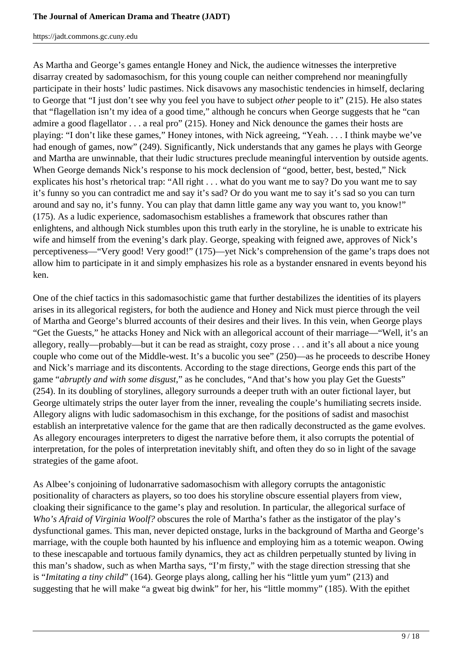As Martha and George's games entangle Honey and Nick, the audience witnesses the interpretive disarray created by sadomasochism, for this young couple can neither comprehend nor meaningfully participate in their hosts' ludic pastimes. Nick disavows any masochistic tendencies in himself, declaring to George that "I just don't see why you feel you have to subject *other* people to it" (215). He also states that "flagellation isn't my idea of a good time," although he concurs when George suggests that he "can admire a good flagellator . . . a real pro" (215). Honey and Nick denounce the games their hosts are playing: "I don't like these games," Honey intones, with Nick agreeing, "Yeah. . . . I think maybe we've had enough of games, now" (249). Significantly, Nick understands that any games he plays with George and Martha are unwinnable, that their ludic structures preclude meaningful intervention by outside agents. When George demands Nick's response to his mock declension of "good, better, best, bested," Nick explicates his host's rhetorical trap: "All right . . . what do you want me to say? Do you want me to say it's funny so you can contradict me and say it's sad? Or do you want me to say it's sad so you can turn around and say no, it's funny. You can play that damn little game any way you want to, you know!" (175). As a ludic experience, sadomasochism establishes a framework that obscures rather than enlightens, and although Nick stumbles upon this truth early in the storyline, he is unable to extricate his wife and himself from the evening's dark play. George, speaking with feigned awe, approves of Nick's perceptiveness—"Very good! Very good!" (175)—yet Nick's comprehension of the game's traps does not allow him to participate in it and simply emphasizes his role as a bystander ensnared in events beyond his ken.

One of the chief tactics in this sadomasochistic game that further destabilizes the identities of its players arises in its allegorical registers, for both the audience and Honey and Nick must pierce through the veil of Martha and George's blurred accounts of their desires and their lives. In this vein, when George plays "Get the Guests," he attacks Honey and Nick with an allegorical account of their marriage—"Well, it's an allegory, really—probably—but it can be read as straight, cozy prose . . . and it's all about a nice young couple who come out of the Middle-west. It's a bucolic you see" (250)—as he proceeds to describe Honey and Nick's marriage and its discontents. According to the stage directions, George ends this part of the game "*abruptly and with some disgust*," as he concludes, "And that's how you play Get the Guests" (254). In its doubling of storylines, allegory surrounds a deeper truth with an outer fictional layer, but George ultimately strips the outer layer from the inner, revealing the couple's humiliating secrets inside. Allegory aligns with ludic sadomasochism in this exchange, for the positions of sadist and masochist establish an interpretative valence for the game that are then radically deconstructed as the game evolves. As allegory encourages interpreters to digest the narrative before them, it also corrupts the potential of interpretation, for the poles of interpretation inevitably shift, and often they do so in light of the savage strategies of the game afoot.

As Albee's conjoining of ludonarrative sadomasochism with allegory corrupts the antagonistic positionality of characters as players, so too does his storyline obscure essential players from view, cloaking their significance to the game's play and resolution. In particular, the allegorical surface of *Who's Afraid of Virginia Woolf?* obscures the role of Martha's father as the instigator of the play's dysfunctional games. This man, never depicted onstage, lurks in the background of Martha and George's marriage, with the couple both haunted by his influence and employing him as a totemic weapon. Owing to these inescapable and tortuous family dynamics, they act as children perpetually stunted by living in this man's shadow, such as when Martha says, "I'm firsty," with the stage direction stressing that she is "*Imitating a tiny child*" (164). George plays along, calling her his "little yum yum" (213) and suggesting that he will make "a gweat big dwink" for her, his "little mommy" (185). With the epithet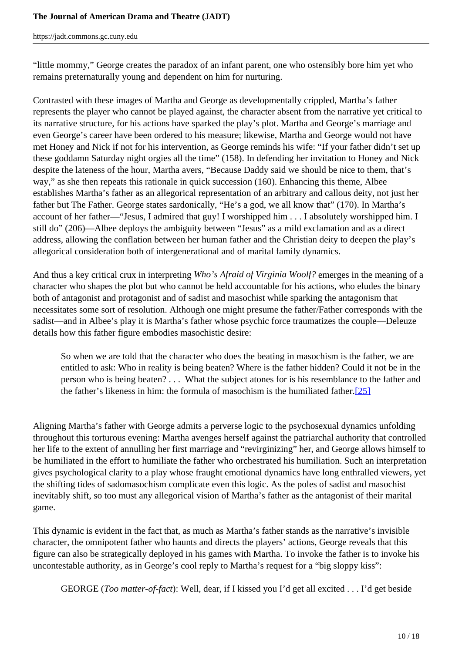#### **The Journal of American Drama and Theatre (JADT)**

https://jadt.commons.gc.cuny.edu

"little mommy," George creates the paradox of an infant parent, one who ostensibly bore him yet who remains preternaturally young and dependent on him for nurturing.

Contrasted with these images of Martha and George as developmentally crippled, Martha's father represents the player who cannot be played against, the character absent from the narrative yet critical to its narrative structure, for his actions have sparked the play's plot. Martha and George's marriage and even George's career have been ordered to his measure; likewise, Martha and George would not have met Honey and Nick if not for his intervention, as George reminds his wife: "If your father didn't set up these goddamn Saturday night orgies all the time" (158). In defending her invitation to Honey and Nick despite the lateness of the hour, Martha avers, "Because Daddy said we should be nice to them, that's way," as she then repeats this rationale in quick succession (160). Enhancing this theme, Albee establishes Martha's father as an allegorical representation of an arbitrary and callous deity, not just her father but The Father. George states sardonically, "He's a god, we all know that" (170). In Martha's account of her father—"Jesus, I admired that guy! I worshipped him . . . I absolutely worshipped him. I still do" (206)—Albee deploys the ambiguity between "Jesus" as a mild exclamation and as a direct address, allowing the conflation between her human father and the Christian deity to deepen the play's allegorical consideration both of intergenerational and of marital family dynamics.

And thus a key critical crux in interpreting *Who's Afraid of Virginia Woolf?* emerges in the meaning of a character who shapes the plot but who cannot be held accountable for his actions, who eludes the binary both of antagonist and protagonist and of sadist and masochist while sparking the antagonism that necessitates some sort of resolution. Although one might presume the father/Father corresponds with the sadist—and in Albee's play it is Martha's father whose psychic force traumatizes the couple—Deleuze details how this father figure embodies masochistic desire:

So when we are told that the character who does the beating in masochism is the father, we are entitled to ask: Who in reality is being beaten? Where is the father hidden? Could it not be in the person who is being beaten? . . . What the subject atones for is his resemblance to the father and the father's likeness in him: the formula of masochism is the humiliated father.[25]

Aligning Martha's father with George admits a perverse logic to the psychosexual dynamics unfolding throughout this torturous evening: Martha avenges herself against the patriarchal authority that controlled her life to the extent of annulling her first marriage and "revirginizing" her, and George allows himself to be humiliated in the effort to humiliate the father who orchestrated his humiliation. Such an interpretation gives psychological clarity to a play whose fraught emotional dynamics have long enthralled viewers, yet the shifting tides of sadomasochism complicate even this logic. As the poles of sadist and masochist inevitably shift, so too must any allegorical vision of Martha's father as the antagonist of their marital game.

This dynamic is evident in the fact that, as much as Martha's father stands as the narrative's invisible character, the omnipotent father who haunts and directs the players' actions, George reveals that this figure can also be strategically deployed in his games with Martha. To invoke the father is to invoke his uncontestable authority, as in George's cool reply to Martha's request for a "big sloppy kiss":

GEORGE (*Too matter-of-fact*): Well, dear, if I kissed you I'd get all excited . . . I'd get beside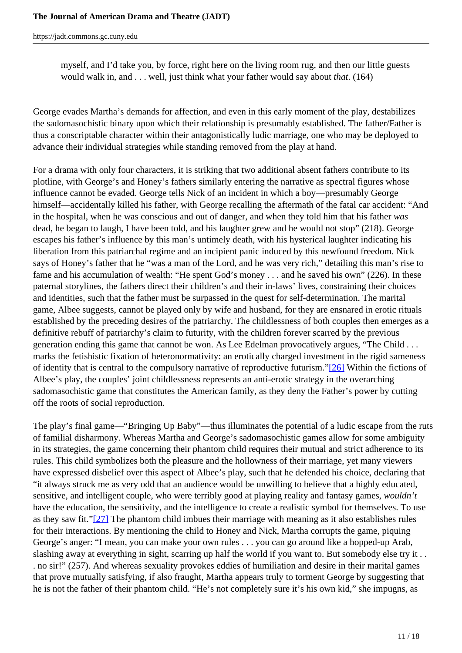myself, and I'd take you, by force, right here on the living room rug, and then our little guests would walk in, and . . . well, just think what your father would say about *that*. (164)

George evades Martha's demands for affection, and even in this early moment of the play, destabilizes the sadomasochistic binary upon which their relationship is presumably established. The father/Father is thus a conscriptable character within their antagonistically ludic marriage, one who may be deployed to advance their individual strategies while standing removed from the play at hand.

For a drama with only four characters, it is striking that two additional absent fathers contribute to its plotline, with George's and Honey's fathers similarly entering the narrative as spectral figures whose influence cannot be evaded. George tells Nick of an incident in which a boy—presumably George himself—accidentally killed his father, with George recalling the aftermath of the fatal car accident: "And in the hospital, when he was conscious and out of danger, and when they told him that his father *was*  dead, he began to laugh, I have been told, and his laughter grew and he would not stop" (218). George escapes his father's influence by this man's untimely death, with his hysterical laughter indicating his liberation from this patriarchal regime and an incipient panic induced by this newfound freedom. Nick says of Honey's father that he "was a man of the Lord, and he was very rich," detailing this man's rise to fame and his accumulation of wealth: "He spent God's money . . . and he saved his own" (226). In these paternal storylines, the fathers direct their children's and their in-laws' lives, constraining their choices and identities, such that the father must be surpassed in the quest for self-determination. The marital game, Albee suggests, cannot be played only by wife and husband, for they are ensnared in erotic rituals established by the preceding desires of the patriarchy. The childlessness of both couples then emerges as a definitive rebuff of patriarchy's claim to futurity, with the children forever scarred by the previous generation ending this game that cannot be won. As Lee Edelman provocatively argues, "The Child . . . marks the fetishistic fixation of heteronormativity: an erotically charged investment in the rigid sameness of identity that is central to the compulsory narrative of reproductive futurism."[26] Within the fictions of Albee's play, the couples' joint childlessness represents an anti-erotic strategy in the overarching sadomasochistic game that constitutes the American family, as they deny the Father's power by cutting off the roots of social reproduction.

The play's final game—"Bringing Up Baby"—thus illuminates the potential of a ludic escape from the ruts of familial disharmony. Whereas Martha and George's sadomasochistic games allow for some ambiguity in its strategies, the game concerning their phantom child requires their mutual and strict adherence to its rules. This child symbolizes both the pleasure and the hollowness of their marriage, yet many viewers have expressed disbelief over this aspect of Albee's play, such that he defended his choice, declaring that "it always struck me as very odd that an audience would be unwilling to believe that a highly educated, sensitive, and intelligent couple, who were terribly good at playing reality and fantasy games, *wouldn't* have the education, the sensitivity, and the intelligence to create a realistic symbol for themselves. To use as they saw fit."[27] The phantom child imbues their marriage with meaning as it also establishes rules for their interactions. By mentioning the child to Honey and Nick, Martha corrupts the game, piquing George's anger: "I mean, you can make your own rules . . . you can go around like a hopped-up Arab, slashing away at everything in sight, scarring up half the world if you want to. But somebody else try it . . . no sir!" (257). And whereas sexuality provokes eddies of humiliation and desire in their marital games that prove mutually satisfying, if also fraught, Martha appears truly to torment George by suggesting that he is not the father of their phantom child. "He's not completely sure it's his own kid," she impugns, as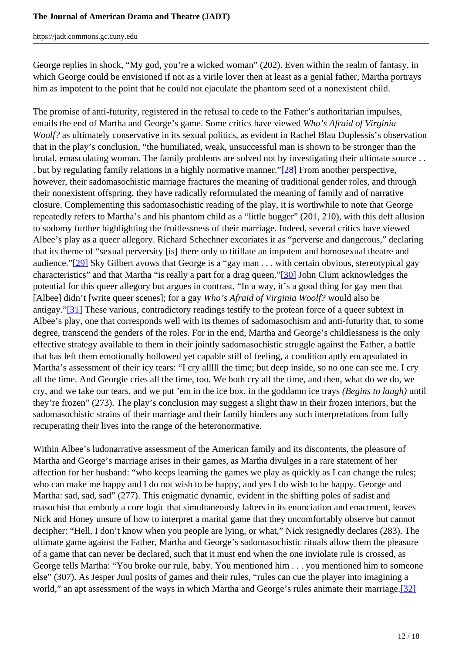George replies in shock, "My god, you're a wicked woman" (202). Even within the realm of fantasy, in which George could be envisioned if not as a virile lover then at least as a genial father, Martha portrays him as impotent to the point that he could not ejaculate the phantom seed of a nonexistent child.

The promise of anti-futurity, registered in the refusal to cede to the Father's authoritarian impulses, entails the end of Martha and George's game. Some critics have viewed *Who's Afraid of Virginia Woolf?* as ultimately conservative in its sexual politics, as evident in Rachel Blau Duplessis's observation that in the play's conclusion, "the humiliated, weak, unsuccessful man is shown to be stronger than the brutal, emasculating woman. The family problems are solved not by investigating their ultimate source . . . but by regulating family relations in a highly normative manner."[28] From another perspective, however, their sadomasochistic marriage fractures the meaning of traditional gender roles, and through their nonexistent offspring, they have radically reformulated the meaning of family and of narrative closure. Complementing this sadomasochistic reading of the play, it is worthwhile to note that George repeatedly refers to Martha's and his phantom child as a "little bugger" (201, 210), with this deft allusion to sodomy further highlighting the fruitlessness of their marriage. Indeed, several critics have viewed Albee's play as a queer allegory. Richard Schechner excoriates it as "perverse and dangerous," declaring that its theme of "sexual perversity [is] there only to titillate an impotent and homosexual theatre and audience."[29] Sky Gilbert avows that George is a "gay man . . . with certain obvious, stereotypical gay characteristics" and that Martha "is really a part for a drag queen."[30] John Clum acknowledges the potential for this queer allegory but argues in contrast, "In a way, it's a good thing for gay men that [Albee] didn't [write queer scenes]; for a gay *Who's Afraid of Virginia Woolf?* would also be antigay."[31] These various, contradictory readings testify to the protean force of a queer subtext in Albee's play, one that corresponds well with its themes of sadomasochism and anti-futurity that, to some degree, transcend the genders of the roles. For in the end, Martha and George's childlessness is the only effective strategy available to them in their jointly sadomasochistic struggle against the Father, a battle that has left them emotionally hollowed yet capable still of feeling, a condition aptly encapsulated in Martha's assessment of their icy tears: "I cry alllll the time; but deep inside, so no one can see me. I cry all the time. And Georgie cries all the time, too. We both cry all the time, and then, what do we do, we cry, and we take our tears, and we put 'em in the ice box, in the goddamn ice trays *(Begins to laugh)* until they're frozen" (273). The play's conclusion may suggest a slight thaw in their frozen interiors, but the sadomasochistic strains of their marriage and their family hinders any such interpretations from fully recuperating their lives into the range of the heteronormative.

Within Albee's ludonarrative assessment of the American family and its discontents, the pleasure of Martha and George's marriage arises in their games, as Martha divulges in a rare statement of her affection for her husband: "who keeps learning the games we play as quickly as I can change the rules; who can make me happy and I do not wish to be happy, and yes I do wish to be happy. George and Martha: sad, sad, sad" (277). This enigmatic dynamic, evident in the shifting poles of sadist and masochist that embody a core logic that simultaneously falters in its enunciation and enactment, leaves Nick and Honey unsure of how to interpret a marital game that they uncomfortably observe but cannot decipher: "Hell, I don't know when you people are lying, or what," Nick resignedly declares (283). The ultimate game against the Father, Martha and George's sadomasochistic rituals allow them the pleasure of a game that can never be declared, such that it must end when the one inviolate rule is crossed, as George tells Martha: "You broke our rule, baby. You mentioned him . . . you mentioned him to someone else" (307). As Jesper Juul posits of games and their rules, "rules can cue the player into imagining a world," an apt assessment of the ways in which Martha and George's rules animate their marriage.[32]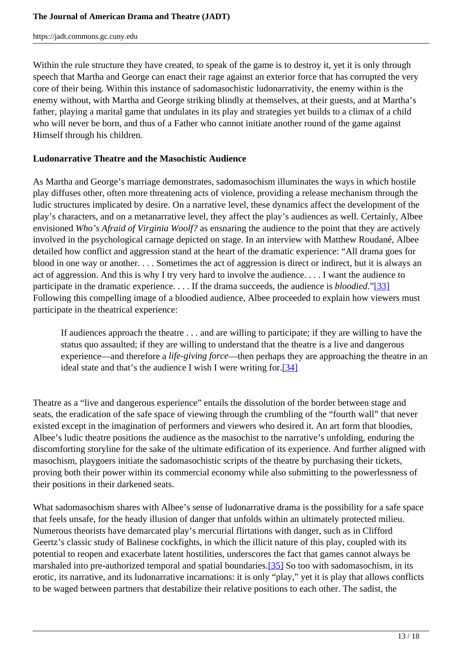Within the rule structure they have created, to speak of the game is to destroy it, yet it is only through speech that Martha and George can enact their rage against an exterior force that has corrupted the very core of their being. Within this instance of sadomasochistic ludonarrativity, the enemy within is the enemy without, with Martha and George striking blindly at themselves, at their guests, and at Martha's father, playing a marital game that undulates in its play and strategies yet builds to a climax of a child who will never be born, and thus of a Father who cannot initiate another round of the game against Himself through his children.

## **Ludonarrative Theatre and the Masochistic Audience**

As Martha and George's marriage demonstrates, sadomasochism illuminates the ways in which hostile play diffuses other, often more threatening acts of violence, providing a release mechanism through the ludic structures implicated by desire. On a narrative level, these dynamics affect the development of the play's characters, and on a metanarrative level, they affect the play's audiences as well. Certainly, Albee envisioned *Who's Afraid of Virginia Woolf?* as ensnaring the audience to the point that they are actively involved in the psychological carnage depicted on stage. In an interview with Matthew Roudané, Albee detailed how conflict and aggression stand at the heart of the dramatic experience: "All drama goes for blood in one way or another. . . . Sometimes the act of aggression is direct or indirect, but it is always an act of aggression. And this is why I try very hard to involve the audience. . . . I want the audience to participate in the dramatic experience. . . . If the drama succeeds, the audience is *bloodied*."[33] Following this compelling image of a bloodied audience, Albee proceeded to explain how viewers must participate in the theatrical experience:

If audiences approach the theatre . . . and are willing to participate; if they are willing to have the status quo assaulted; if they are willing to understand that the theatre is a live and dangerous experience—and therefore a *life-giving force*—then perhaps they are approaching the theatre in an ideal state and that's the audience I wish I were writing for.[34]

Theatre as a "live and dangerous experience" entails the dissolution of the border between stage and seats, the eradication of the safe space of viewing through the crumbling of the "fourth wall" that never existed except in the imagination of performers and viewers who desired it. An art form that bloodies, Albee's ludic theatre positions the audience as the masochist to the narrative's unfolding, enduring the discomforting storyline for the sake of the ultimate edification of its experience. And further aligned with masochism, playgoers initiate the sadomasochistic scripts of the theatre by purchasing their tickets, proving both their power within its commercial economy while also submitting to the powerlessness of their positions in their darkened seats.

What sadomasochism shares with Albee's sense of ludonarrative drama is the possibility for a safe space that feels unsafe, for the heady illusion of danger that unfolds within an ultimately protected milieu. Numerous theorists have demarcated play's mercurial flirtations with danger, such as in Clifford Geertz's classic study of Balinese cockfights, in which the illicit nature of this play, coupled with its potential to reopen and exacerbate latent hostilities, underscores the fact that games cannot always be marshaled into pre-authorized temporal and spatial boundaries.[35] So too with sadomasochism, in its erotic, its narrative, and its ludonarrative incarnations: it is only "play," yet it is play that allows conflicts to be waged between partners that destabilize their relative positions to each other. The sadist, the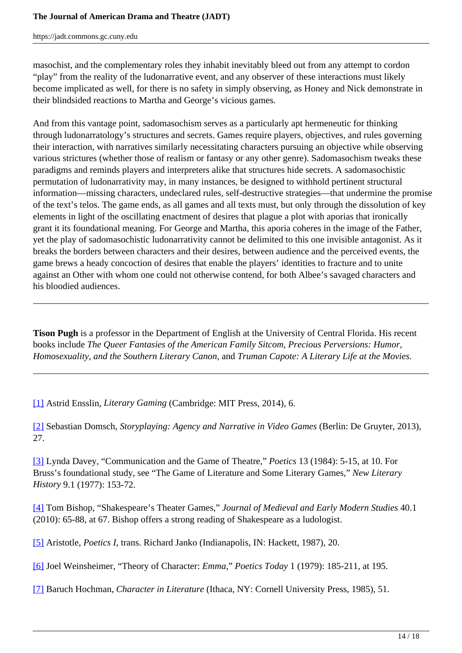masochist, and the complementary roles they inhabit inevitably bleed out from any attempt to cordon "play" from the reality of the ludonarrative event, and any observer of these interactions must likely become implicated as well, for there is no safety in simply observing, as Honey and Nick demonstrate in their blindsided reactions to Martha and George's vicious games.

And from this vantage point, sadomasochism serves as a particularly apt hermeneutic for thinking through ludonarratology's structures and secrets. Games require players, objectives, and rules governing their interaction, with narratives similarly necessitating characters pursuing an objective while observing various strictures (whether those of realism or fantasy or any other genre). Sadomasochism tweaks these paradigms and reminds players and interpreters alike that structures hide secrets. A sadomasochistic permutation of ludonarrativity may, in many instances, be designed to withhold pertinent structural information—missing characters, undeclared rules, self-destructive strategies—that undermine the promise of the text's telos. The game ends, as all games and all texts must, but only through the dissolution of key elements in light of the oscillating enactment of desires that plague a plot with aporias that ironically grant it its foundational meaning. For George and Martha, this aporia coheres in the image of the Father, yet the play of sadomasochistic ludonarrativity cannot be delimited to this one invisible antagonist. As it breaks the borders between characters and their desires, between audience and the perceived events, the game brews a heady concoction of desires that enable the players' identities to fracture and to unite against an Other with whom one could not otherwise contend, for both Albee's savaged characters and his bloodied audiences.

**Tison Pugh** is a professor in the Department of English at the University of Central Florida. His recent books include *The Queer Fantasies of the American Family Sitcom*, *Precious Perversions: Humor, Homosexuality, and the Southern Literary Canon*, and *Truman Capote: A Literary Life at the Movies*.

[1] Astrid Ensslin, *Literary Gaming* (Cambridge: MIT Press, 2014), 6.

[2] Sebastian Domsch, *Storyplaying: Agency and Narrative in Video Games* (Berlin: De Gruyter, 2013), 27.

[3] Lynda Davey, "Communication and the Game of Theatre," *Poetics* 13 (1984): 5-15, at 10. For Bruss's foundational study, see "The Game of Literature and Some Literary Games," *New Literary History* 9.1 (1977): 153-72.

[4] Tom Bishop, "Shakespeare's Theater Games," *Journal of Medieval and Early Modern Studies* 40.1 (2010): 65-88, at 67. Bishop offers a strong reading of Shakespeare as a ludologist.

[5] Aristotle, *Poetics I*, trans. Richard Janko (Indianapolis, IN: Hackett, 1987), 20.

[6] Joel Weinsheimer, "Theory of Character: *Emma*," *Poetics Today* 1 (1979): 185-211, at 195.

[7] Baruch Hochman, *Character in Literature* (Ithaca, NY: Cornell University Press, 1985), 51.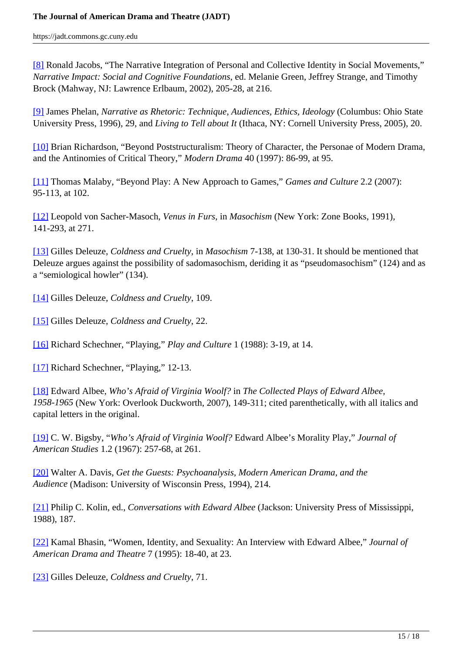[8] Ronald Jacobs, "The Narrative Integration of Personal and Collective Identity in Social Movements," *Narrative Impact: Social and Cognitive Foundations*, ed. Melanie Green, Jeffrey Strange, and Timothy Brock (Mahway, NJ: Lawrence Erlbaum, 2002), 205-28, at 216.

[9] James Phelan, *Narrative as Rhetoric: Technique, Audiences, Ethics, Ideology* (Columbus: Ohio State University Press, 1996), 29, and *Living to Tell about It* (Ithaca, NY: Cornell University Press, 2005), 20.

[10] Brian Richardson, "Beyond Poststructuralism: Theory of Character, the Personae of Modern Drama, and the Antinomies of Critical Theory," *Modern Drama* 40 (1997): 86-99, at 95.

[11] Thomas Malaby, "Beyond Play: A New Approach to Games," *Games and Culture* 2.2 (2007): 95-113, at 102.

[12] Leopold von Sacher-Masoch, *Venus in Furs*, in *Masochism* (New York: Zone Books, 1991), 141-293, at 271.

[13] Gilles Deleuze, *Coldness and Cruelty*, in *Masochism* 7-138, at 130-31. It should be mentioned that Deleuze argues against the possibility of sadomasochism, deriding it as "pseudomasochism" (124) and as a "semiological howler" (134).

[14] Gilles Deleuze, *Coldness and Cruelty*, 109.

[15] Gilles Deleuze, *Coldness and Cruelty*, 22.

[16] Richard Schechner, "Playing," *Play and Culture* 1 (1988): 3-19, at 14.

[17] Richard Schechner, "Playing," 12-13.

[18] Edward Albee, *Who's Afraid of Virginia Woolf?* in *The Collected Plays of Edward Albee, 1958-1965* (New York: Overlook Duckworth, 2007), 149-311; cited parenthetically, with all italics and capital letters in the original.

[19] C. W. Bigsby, "*Who's Afraid of Virginia Woolf?* Edward Albee's Morality Play," *Journal of American Studies* 1.2 (1967): 257-68, at 261.

[20] Walter A. Davis, *Get the Guests: Psychoanalysis, Modern American Drama, and the Audience* (Madison: University of Wisconsin Press, 1994), 214.

[21] Philip C. Kolin, ed., *Conversations with Edward Albee* (Jackson: University Press of Mississippi, 1988), 187.

[22] Kamal Bhasin, "Women, Identity, and Sexuality: An Interview with Edward Albee," *Journal of American Drama and Theatre* 7 (1995): 18-40, at 23.

[23] Gilles Deleuze, *Coldness and Cruelty*, 71.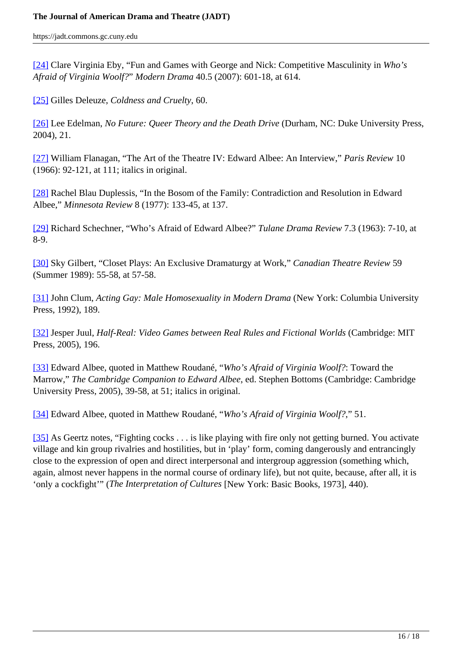[24] Clare Virginia Eby, "Fun and Games with George and Nick: Competitive Masculinity in *Who's Afraid of Virginia Woolf?*" *Modern Drama* 40.5 (2007): 601-18, at 614.

[25] Gilles Deleuze, *Coldness and Cruelty*, 60.

[26] Lee Edelman, *No Future: Queer Theory and the Death Drive* (Durham, NC: Duke University Press, 2004), 21.

[27] William Flanagan, "The Art of the Theatre IV: Edward Albee: An Interview," *Paris Review* 10 (1966): 92-121, at 111; italics in original.

[28] Rachel Blau Duplessis, "In the Bosom of the Family: Contradiction and Resolution in Edward Albee," *Minnesota Review* 8 (1977): 133-45, at 137.

[29] Richard Schechner, "Who's Afraid of Edward Albee?" *Tulane Drama Review* 7.3 (1963): 7-10, at 8-9.

[30] Sky Gilbert, "Closet Plays: An Exclusive Dramaturgy at Work," *Canadian Theatre Review* 59 (Summer 1989): 55-58, at 57-58.

[31] John Clum, *Acting Gay: Male Homosexuality in Modern Drama* (New York: Columbia University Press, 1992), 189.

[32] Jesper Juul, *Half-Real: Video Games between Real Rules and Fictional Worlds* (Cambridge: MIT Press, 2005), 196.

[33] Edward Albee, quoted in Matthew Roudané, "*Who's Afraid of Virginia Woolf?*: Toward the Marrow," *The Cambridge Companion to Edward Albee*, ed. Stephen Bottoms (Cambridge: Cambridge University Press, 2005), 39-58, at 51; italics in original.

[34] Edward Albee, quoted in Matthew Roudané, "*Who's Afraid of Virginia Woolf?*," 51.

[35] As Geertz notes, "Fighting cocks . . . is like playing with fire only not getting burned. You activate village and kin group rivalries and hostilities, but in 'play' form, coming dangerously and entrancingly close to the expression of open and direct interpersonal and intergroup aggression (something which, again, almost never happens in the normal course of ordinary life), but not quite, because, after all, it is 'only a cockfight'" (*The Interpretation of Cultures* [New York: Basic Books, 1973], 440).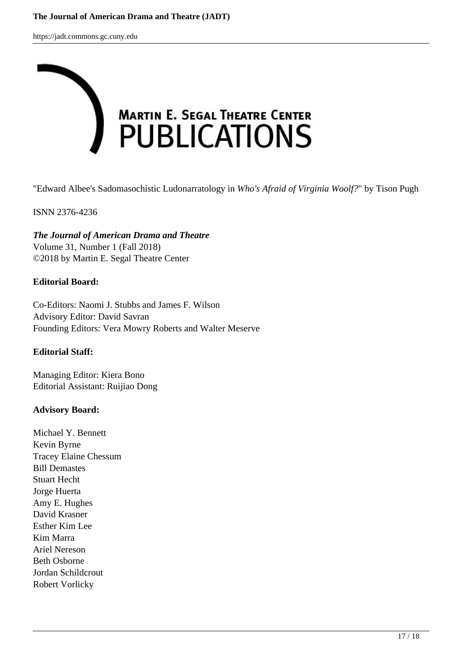

"Edward Albee's Sadomasochistic Ludonarratology in *Who's Afraid of Virginia Woolf?*" by Tison Pugh

ISNN 2376-4236

*The Journal of American Drama and Theatre* Volume 31, Number 1 (Fall 2018) ©2018 by Martin E. Segal Theatre Center

#### **Editorial Board:**

Co-Editors: Naomi J. Stubbs and James F. Wilson Advisory Editor: David Savran Founding Editors: Vera Mowry Roberts and Walter Meserve

#### **Editorial Staff:**

Managing Editor: Kiera Bono Editorial Assistant: Ruijiao Dong

## **Advisory Board:**

Michael Y. Bennett Kevin Byrne Tracey Elaine Chessum Bill Demastes Stuart Hecht Jorge Huerta Amy E. Hughes David Krasner Esther Kim Lee Kim Marra Ariel Nereson Beth Osborne Jordan Schildcrout Robert Vorlicky